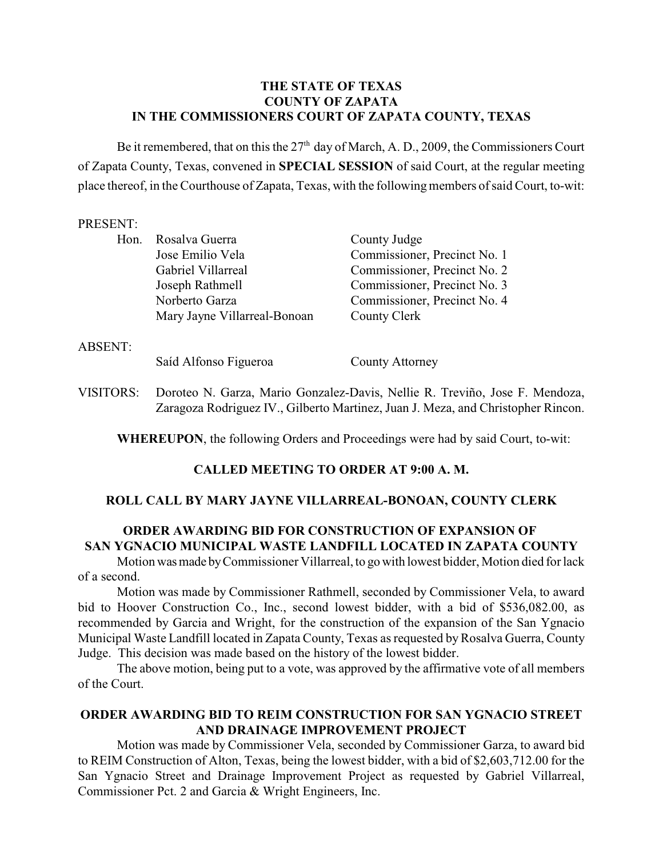# **THE STATE OF TEXAS COUNTY OF ZAPATA IN THE COMMISSIONERS COURT OF ZAPATA COUNTY, TEXAS**

Be it remembered, that on this the  $27<sup>th</sup>$  day of March, A. D., 2009, the Commissioners Court of Zapata County, Texas, convened in **SPECIAL SESSION** of said Court, at the regular meeting place thereof, in the Courthouse of Zapata, Texas, with the following members of said Court, to-wit:

## PRESENT:

| Hon.           | Rosalva Guerra               | County Judge                 |
|----------------|------------------------------|------------------------------|
|                | Jose Emilio Vela             | Commissioner, Precinct No. 1 |
|                | Gabriel Villarreal           | Commissioner, Precinct No. 2 |
|                | Joseph Rathmell              | Commissioner, Precinct No. 3 |
|                | Norberto Garza               | Commissioner, Precinct No. 4 |
|                | Mary Jayne Villarreal-Bonoan | County Clerk                 |
| <b>ABSENT:</b> |                              |                              |
|                | Saíd Alfonso Figueroa        | <b>County Attorney</b>       |

VISITORS: Doroteo N. Garza, Mario Gonzalez-Davis, Nellie R. Treviño, Jose F. Mendoza, Zaragoza Rodriguez IV., Gilberto Martinez, Juan J. Meza, and Christopher Rincon.

**WHEREUPON**, the following Orders and Proceedings were had by said Court, to-wit:

## **CALLED MEETING TO ORDER AT 9:00 A. M.**

## **ROLL CALL BY MARY JAYNE VILLARREAL-BONOAN, COUNTY CLERK**

# **ORDER AWARDING BID FOR CONSTRUCTION OF EXPANSION OF SAN YGNACIO MUNICIPAL WASTE LANDFILL LOCATED IN ZAPATA COUNTY**

Motion was made by Commissioner Villarreal, to go with lowest bidder, Motion died for lack of a second.

Motion was made by Commissioner Rathmell, seconded by Commissioner Vela, to award bid to Hoover Construction Co., Inc., second lowest bidder, with a bid of \$536,082.00, as recommended by Garcia and Wright, for the construction of the expansion of the San Ygnacio Municipal Waste Landfill located in Zapata County, Texas as requested by Rosalva Guerra, County Judge. This decision was made based on the history of the lowest bidder.

The above motion, being put to a vote, was approved by the affirmative vote of all members of the Court.

# **ORDER AWARDING BID TO REIM CONSTRUCTION FOR SAN YGNACIO STREET AND DRAINAGE IMPROVEMENT PROJECT**

Motion was made by Commissioner Vela, seconded by Commissioner Garza, to award bid to REIM Construction of Alton, Texas, being the lowest bidder, with a bid of \$2,603,712.00 for the San Ygnacio Street and Drainage Improvement Project as requested by Gabriel Villarreal, Commissioner Pct. 2 and Garcia & Wright Engineers, Inc.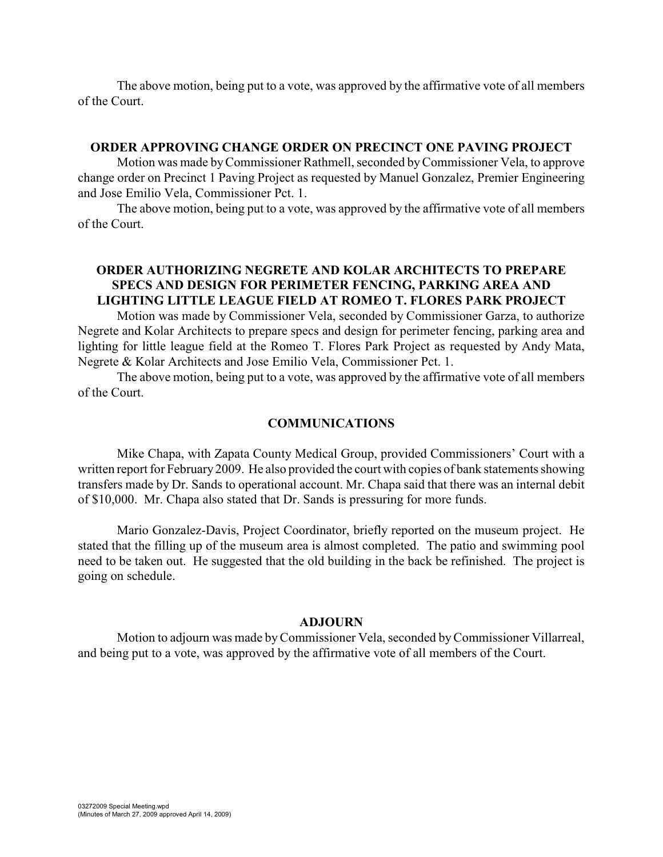The above motion, being put to a vote, was approved by the affirmative vote of all members of the Court.

#### **ORDER APPROVING CHANGE ORDER ON PRECINCT ONE PAVING PROJECT**

Motion was made byCommissioner Rathmell, seconded by Commissioner Vela, to approve change order on Precinct 1 Paving Project as requested by Manuel Gonzalez, Premier Engineering and Jose Emilio Vela, Commissioner Pct. 1.

The above motion, being put to a vote, was approved by the affirmative vote of all members of the Court.

## **ORDER AUTHORIZING NEGRETE AND KOLAR ARCHITECTS TO PREPARE SPECS AND DESIGN FOR PERIMETER FENCING, PARKING AREA AND LIGHTING LITTLE LEAGUE FIELD AT ROMEO T. FLORES PARK PROJECT**

Motion was made by Commissioner Vela, seconded by Commissioner Garza, to authorize Negrete and Kolar Architects to prepare specs and design for perimeter fencing, parking area and lighting for little league field at the Romeo T. Flores Park Project as requested by Andy Mata, Negrete & Kolar Architects and Jose Emilio Vela, Commissioner Pct. 1.

The above motion, being put to a vote, was approved by the affirmative vote of all members of the Court.

#### **COMMUNICATIONS**

Mike Chapa, with Zapata County Medical Group, provided Commissioners' Court with a written report for February 2009. He also provided the court with copies of bank statements showing transfers made by Dr. Sands to operational account. Mr. Chapa said that there was an internal debit of \$10,000. Mr. Chapa also stated that Dr. Sands is pressuring for more funds.

Mario Gonzalez-Davis, Project Coordinator, briefly reported on the museum project. He stated that the filling up of the museum area is almost completed. The patio and swimming pool need to be taken out. He suggested that the old building in the back be refinished. The project is going on schedule.

#### **ADJOURN**

Motion to adjourn was made by Commissioner Vela, seconded by Commissioner Villarreal, and being put to a vote, was approved by the affirmative vote of all members of the Court.